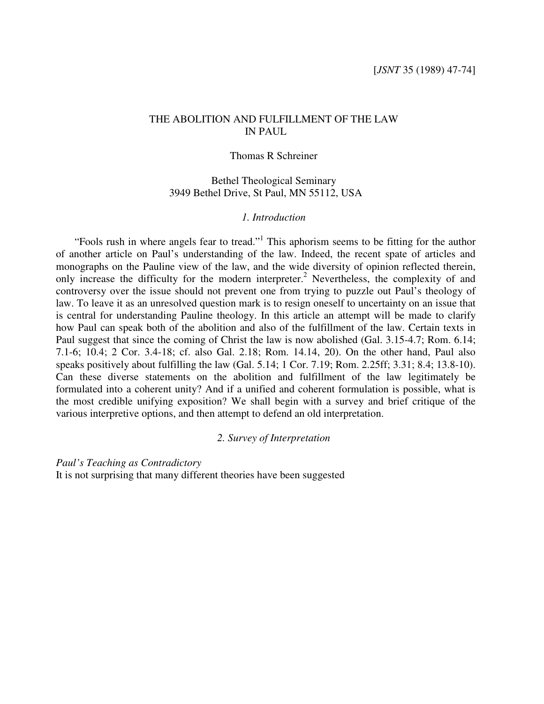# THE ABOLITION AND FULFILLMENT OF THE LAW IN PAUL

### Thomas R Schreiner

# Bethel Theological Seminary 3949 Bethel Drive, St Paul, MN 55112, USA

## *1. Introduction*

"Fools rush in where angels fear to tread."<sup>1</sup> This aphorism seems to be fitting for the author of another article on Paul's understanding of the law. Indeed, the recent spate of articles and monographs on the Pauline view of the law, and the wide diversity of opinion reflected therein, only increase the difficulty for the modern interpreter. <sup>2</sup> Nevertheless, the complexity of and controversy over the issue should not prevent one from trying to puzzle out Paul's theology of law. To leave it as an unresolved question mark is to resign oneself to uncertainty on an issue that is central for understanding Pauline theology. In this article an attempt will be made to clarify how Paul can speak both of the abolition and also of the fulfillment of the law. Certain texts in Paul suggest that since the coming of Christ the law is now abolished (Gal. 3.15-4.7; Rom. 6.14; 7.1-6; 10.4; 2 Cor. 3.4-18; cf. also Gal. 2.18; Rom. 14.14, 20). On the other hand, Paul also speaks positively about fulfilling the law (Gal. 5.14; 1 Cor. 7.19; Rom. 2.25ff; 3.31; 8.4; 13.8-10). Can these diverse statements on the abolition and fulfillment of the law legitimately be formulated into a coherent unity? And if a unified and coherent formulation is possible, what is the most credible unifying exposition? We shall begin with a survey and brief critique of the various interpretive options, and then attempt to defend an old interpretation.

### *2. Survey of Interpretation*

*Paul's Teaching as Contradictory* It is not surprising that many different theories have been suggested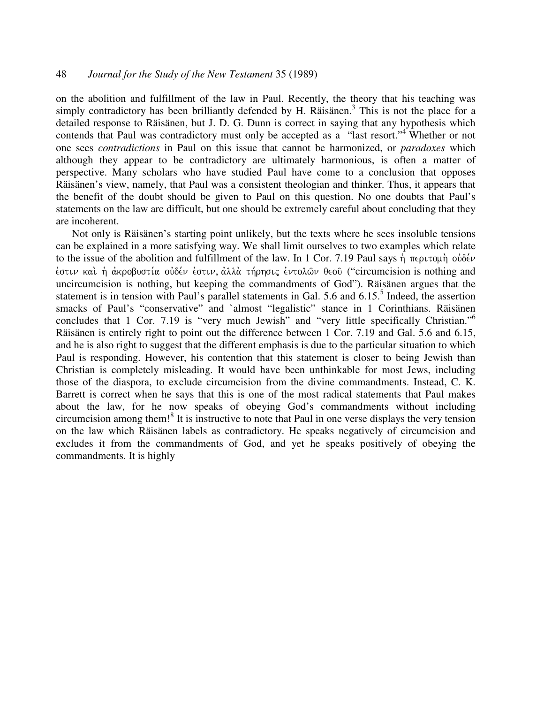# 48 *Journal for the Study of the New Testament* 35 (1989)

on the abolition and fulfillment of the law in Paul. Recently, the theory that his teaching was simply contradictory has been brilliantly defended by H. Räisänen.<sup>3</sup> This is not the place for a detailed response to Räisänen, but J. D. G. Dunn is correct in saying that any hypothesis which contends that Paul was contradictory must only be accepted as a "last resort."<sup>4</sup> Whether or not one sees *contradictions* in Paul on this issue that cannot be harmonized, or *paradoxes* which although they appear to be contradictory are ultimately harmonious, is often a matter of perspective. Many scholars who have studied Paul have come to a conclusion that opposes Räisänen's view, namely, that Paul was a consistent theologian and thinker. Thus, it appears that the benefit of the doubt should be given to Paul on this question. No one doubts that Paul's statements on the law are difficult, but one should be extremely careful about concluding that they are incoherent.

Not only is Räisänen's starting point unlikely, but the texts where he sees insoluble tensions can be explained in a more satisfying way. We shall limit ourselves to two examples which relate to the issue of the abolition and fulfillment of the law. In 1 Cor. 7.19 Paul says ή περιτομή ούδέν ἐστιν καὶ ἡ ἀκροβυστία οὐδέν ἐστιν, ἀλλὰ τήρησις ἐντολῶν θεοῦ ("circumcision is nothing and uncircumcision is nothing, but keeping the commandments of God"). Räisänen argues that the statement is in tension with Paul's parallel statements in Gal. 5.6 and 6.15.<sup>5</sup> Indeed, the assertion smacks of Paul's "conservative" and `almost "legalistic" stance in 1 Corinthians. Räisänen concludes that 1 Cor. 7.19 is "very much Jewish" and "very little specifically Christian."<sup>6</sup> Räisänen is entirely right to point out the difference between 1 Cor. 7.19 and Gal. 5.6 and 6.15, and he is also right to suggest that the different emphasis is due to the particular situation to which Paul is responding. However, his contention that this statement is closer to being Jewish than Christian is completely misleading. It would have been unthinkable for most Jews, including those of the diaspora, to exclude circumcision from the divine commandments. Instead, C. K. Barrett is correct when he says that this is one of the most radical statements that Paul makes about the law, for he now speaks of obeying God's commandments without including circumcision among them! 8 It is instructive to note that Paul in one verse displays the very tension on the law which Räisänen labels as contradictory. He speaks negatively of circumcision and excludes it from the commandments of God, and yet he speaks positively of obeying the commandments. It is highly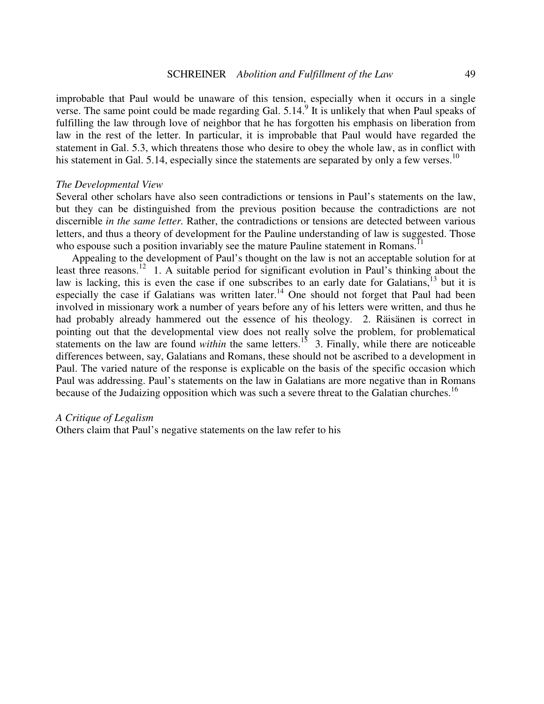improbable that Paul would be unaware of this tension, especially when it occurs in a single verse. The same point could be made regarding Gal. 5.14.<sup>9</sup> It is unlikely that when Paul speaks of fulfilling the law through love of neighbor that he has forgotten his emphasis on liberation from law in the rest of the letter. In particular, it is improbable that Paul would have regarded the statement in Gal. 5.3, which threatens those who desire to obey the whole law, as in conflict with his statement in Gal. 5.14, especially since the statements are separated by only a few verses.<sup>10</sup>

### *The Developmental View*

Several other scholars have also seen contradictions or tensions in Paul's statements on the law, but they can be distinguished from the previous position because the contradictions are not discernible *in the same letter.* Rather, the contradictions or tensions are detected between various letters, and thus a theory of development for the Pauline understanding of law is suggested. Those who espouse such a position invariably see the mature Pauline statement in Romans.<sup>11</sup>

Appealing to the development of Paul's thought on the law is not an acceptable solution for at least three reasons.<sup>12</sup> 1. A suitable period for significant evolution in Paul's thinking about the law is lacking, this is even the case if one subscribes to an early date for Galatians, <sup>13</sup> but it is especially the case if Galatians was written later.<sup>14</sup> One should not forget that Paul had been involved in missionary work a number of years before any of his letters were written, and thus he had probably already hammered out the essence of his theology. 2. Räisänen is correct in pointing out that the developmental view does not really solve the problem, for problematical statements on the law are found *within* the same letters.<sup>15</sup> 3. Finally, while there are noticeable differences between, say, Galatians and Romans, these should not be ascribed to a development in Paul. The varied nature of the response is explicable on the basis of the specific occasion which Paul was addressing. Paul's statements on the law in Galatians are more negative than in Romans because of the Judaizing opposition which was such a severe threat to the Galatian churches.<sup>16</sup>

#### *A Critique of Legalism*

Others claim that Paul's negative statements on the law refer to his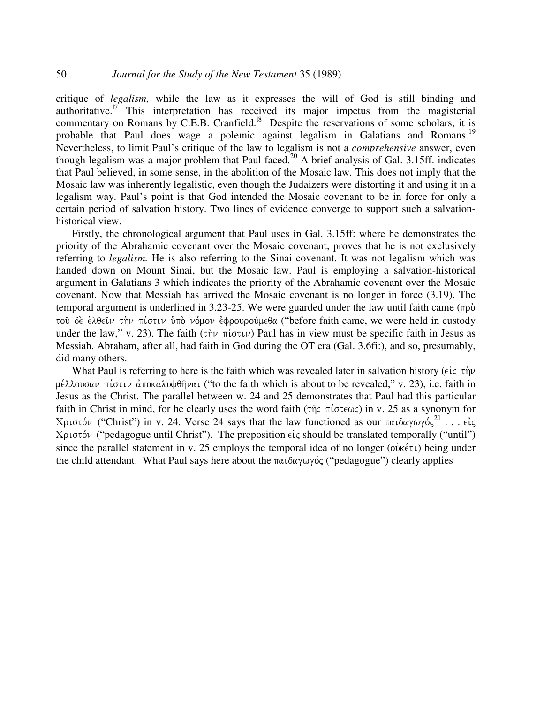critique of *legalism,* while the law as it expresses the will of God is still binding and authoritative.<sup>17</sup> This interpretation has received its major impetus from the magisterial commentary on Romans by C.E.B. Cranfield.<sup>18</sup> Despite the reservations of some scholars, it is probable that Paul does wage a polemic against legalism in Galatians and Romans.<sup>19</sup> Nevertheless, to limit Paul's critique of the law to legalism is not a *comprehensive* answer, even though legalism was a major problem that Paul faced.<sup>20</sup> A brief analysis of Gal. 3.15ff. indicates that Paul believed, in some sense, in the abolition of the Mosaic law. This does not imply that the Mosaic law was inherently legalistic, even though the Judaizers were distorting it and using it in a legalism way. Paul's point is that God intended the Mosaic covenant to be in force for only a certain period of salvation history. Two lines of evidence converge to support such a salvationhistorical view.

Firstly, the chronological argument that Paul uses in Gal. 3.15ff: where he demonstrates the priority of the Abrahamic covenant over the Mosaic covenant, proves that he is not exclusively referring to *legalism.* He is also referring to the Sinai covenant. It was not legalism which was handed down on Mount Sinai, but the Mosaic law. Paul is employing a salvation-historical argument in Galatians 3 which indicates the priority of the Abrahamic covenant over the Mosaic covenant. Now that Messiah has arrived the Mosaic covenant is no longer in force (3.19). The temporal argument is underlined in 3.23-25. We were guarded under the law until faith came ( $\pi \rho \dot{\delta}$ ) τοῦ δὲ ἐλθεῖν τὴν πίστιν ὑπὸ νόμον ἐφρουρούμεθα ("before faith came, we were held in custody under the law," v. 23). The faith  $(\tau \gamma \nu \pi (\sigma \tau \nu))$  Paul has in view must be specific faith in Jesus as Messiah. Abraham, after all, had faith in God during the OT era (Gal. 3.6fi:), and so, presumably, did many others.

What Paul is referring to here is the faith which was revealed later in salvation history ( $\epsilon \dot{\iota}_{\zeta} \tau \dot{\eta} \nu$ μέλλουσαν πίστιν ἀποκαλυφθῆναι (''to the faith which is about to be revealed,'' v. 23), i.e. faith in Jesus as the Christ. The parallel between w. 24 and 25 demonstrates that Paul had this particular faith in Christ in mind, for he clearly uses the word faith ( $\tau$  $\hat{\eta}$  $\zeta$   $\pi$  $(\sigma \tau \epsilon \omega \zeta)$ ) in v. 25 as a synonym for Χριστόν ("Christ") in v. 24. Verse 24 says that the law functioned as our παιδαγωγός $^{21}$  . . . είς Χριστόν ("pedagogue until Christ"). The preposition  $\epsilon\zeta$  should be translated temporally ("until") since the parallel statement in v. 25 employs the temporal idea of no longer ( $o\dot{v}$  $\kappa \in \mathbb{Z}$ ) being under the child attendant. What Paul says here about the  $\pi\alpha\alpha\gamma\omega\gamma\gamma\gamma\gamma'$  ("pedagogue") clearly applies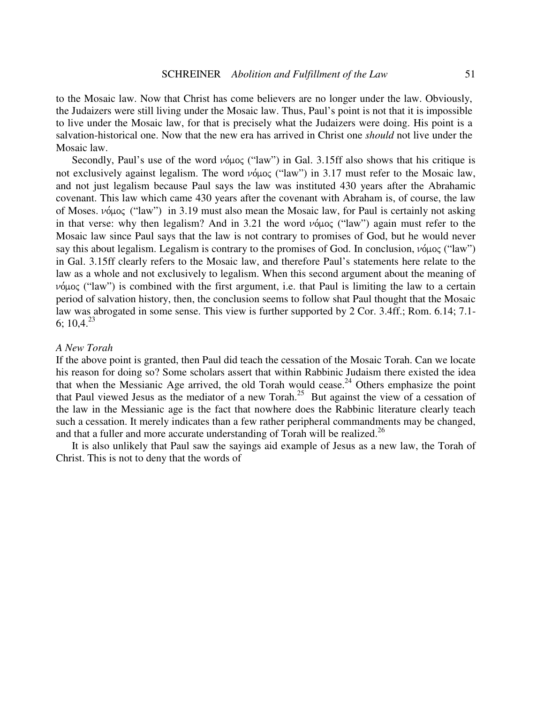to the Mosaic law. Now that Christ has come believers are no longer under the law. Obviously, the Judaizers were still living under the Mosaic law. Thus, Paul's point is not that it is impossible to live under the Mosaic law, for that is precisely what the Judaizers were doing. His point is a salvation-historical one. Now that the new era has arrived in Christ one *should* not live under the Mosaic law.

Secondly, Paul's use of the word  $\nu \circ \mu$  ("law") in Gal. 3.15ff also shows that his critique is not exclusively against legalism. The word νόμος ("law") in 3.17 must refer to the Mosaic law, and not just legalism because Paul says the law was instituted 430 years after the Abrahamic covenant. This law which came 430 years after the covenant with Abraham is, of course, the law of Moses. νόμος ("law") in 3.19 must also mean the Mosaic law, for Paul is certainly not asking in that verse: why then legalism? And in 3.21 the word  $\nu \circ \mu$  ("law") again must refer to the Mosaic law since Paul says that the law is not contrary to promises of God, but he would never say this about legalism. Legalism is contrary to the promises of God. In conclusion,  $\nu \phi \mu o \zeta$  ("law") in Gal. 3.15ff clearly refers to the Mosaic law, and therefore Paul's statements here relate to the law as a whole and not exclusively to legalism. When this second argument about the meaning of  $\nu$  ("law") is combined with the first argument, i.e. that Paul is limiting the law to a certain period of salvation history, then, the conclusion seems to follow shat Paul thought that the Mosaic law was abrogated in some sense. This view is further supported by 2 Cor. 3.4ff.; Rom. 6.14; 7.1- 6;  $10,4.^{23}$ 

### *A New Torah*

If the above point is granted, then Paul did teach the cessation of the Mosaic Torah. Can we locate his reason for doing so? Some scholars assert that within Rabbinic Judaism there existed the idea that when the Messianic Age arrived, the old Torah would cease.<sup>24</sup> Others emphasize the point that Paul viewed Jesus as the mediator of a new Torah. <sup>25</sup> But against the view of a cessation of the law in the Messianic age is the fact that nowhere does the Rabbinic literature clearly teach such a cessation. It merely indicates than a few rather peripheral commandments may be changed, and that a fuller and more accurate understanding of Torah will be realized.<sup>26</sup>

It is also unlikely that Paul saw the sayings aid example of Jesus as a new law, the Torah of Christ. This is not to deny that the words of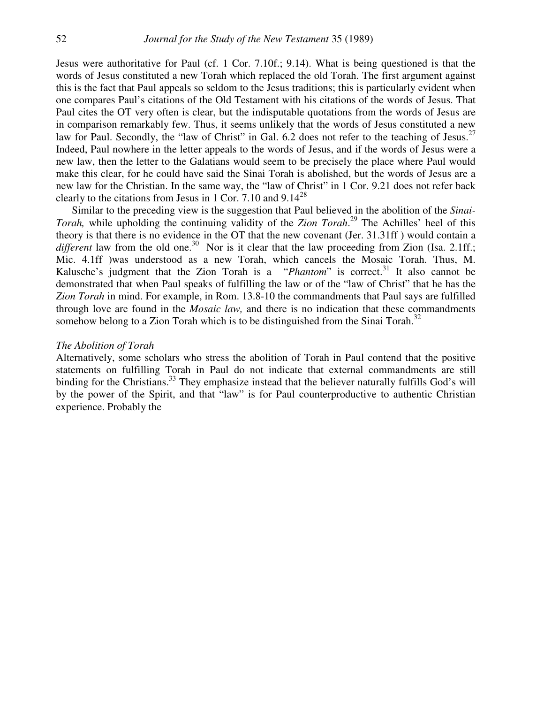Jesus were authoritative for Paul (cf. 1 Cor. 7.10f.; 9.14). What is being questioned is that the words of Jesus constituted a new Torah which replaced the old Torah. The first argument against this is the fact that Paul appeals so seldom to the Jesus traditions; this is particularly evident when one compares Paul's citations of the Old Testament with his citations of the words of Jesus. That Paul cites the OT very often is clear, but the indisputable quotations from the words of Jesus are in comparison remarkably few. Thus, it seems unlikely that the words of Jesus constituted a new law for Paul. Secondly, the "law of Christ" in Gal. 6.2 does not refer to the teaching of Jesus.<sup>27</sup> Indeed, Paul nowhere in the letter appeals to the words of Jesus, and if the words of Jesus were a new law, then the letter to the Galatians would seem to be precisely the place where Paul would make this clear, for he could have said the Sinai Torah is abolished, but the words of Jesus are a new law for the Christian. In the same way, the "law of Christ" in 1 Cor. 9.21 does not refer back clearly to the citations from Jesus in 1 Cor. 7.10 and  $9.14^{28}$ 

Similar to the preceding view is the suggestion that Paul believed in the abolition of the *Sinai-Torah,* while upholding the continuing validity of the *Zion Torah*. 29 The Achilles' heel of this theory is that there is no evidence in the OT that the new covenant (Jer. 31.31ff ) would contain a different law from the old one.<sup>30</sup> Nor is it clear that the law proceeding from Zion (Isa. 2.1ff.; Mic. 4.1ff )was understood as a new Torah, which cancels the Mosaic Torah. Thus, M. Kalusche's judgment that the Zion Torah is a "*Phantom*" is correct.<sup>31</sup> It also cannot be demonstrated that when Paul speaks of fulfilling the law or of the "law of Christ" that he has the *Zion Torah* in mind. For example, in Rom. 13.8-10 the commandments that Paul says are fulfilled through love are found in the *Mosaic law,* and there is no indication that these commandments somehow belong to a Zion Torah which is to be distinguished from the Sinai Torah.<sup>32</sup>

#### *The Abolition of Torah*

Alternatively, some scholars who stress the abolition of Torah in Paul contend that the positive statements on fulfilling Torah in Paul do not indicate that external commandments are still binding for the Christians.<sup>33</sup> They emphasize instead that the believer naturally fulfills God's will by the power of the Spirit, and that "law" is for Paul counterproductive to authentic Christian experience. Probably the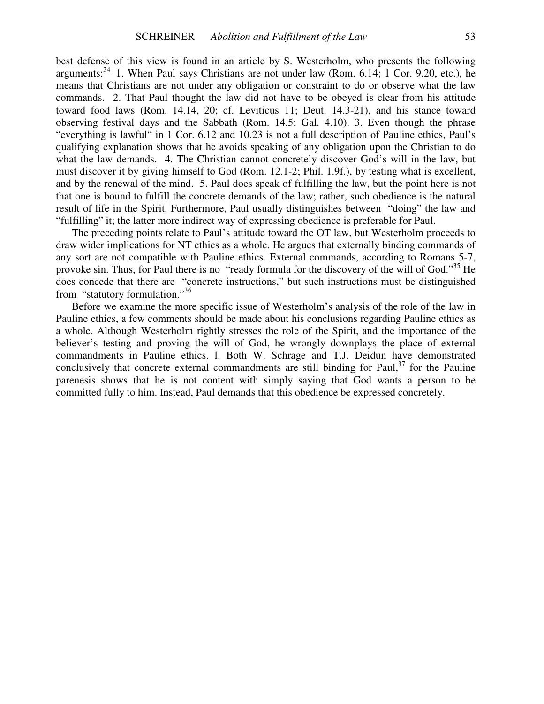best defense of this view is found in an article by S. Westerholm, who presents the following arguments:<sup>34</sup> 1. When Paul says Christians are not under law (Rom. 6.14; 1 Cor. 9.20, etc.), he means that Christians are not under any obligation or constraint to do or observe what the law commands. 2. That Paul thought the law did not have to be obeyed is clear from his attitude toward food laws (Rom. 14.14, 20; cf. Leviticus 11; Deut. 14.3-21), and his stance toward observing festival days and the Sabbath (Rom. 14.5; Gal. 4.10). 3. Even though the phrase "everything is lawful" in 1 Cor. 6.12 and 10.23 is not a full description of Pauline ethics, Paul's qualifying explanation shows that he avoids speaking of any obligation upon the Christian to do what the law demands. 4. The Christian cannot concretely discover God's will in the law, but must discover it by giving himself to God (Rom. 12.1-2; Phil. 1.9f.), by testing what is excellent, and by the renewal of the mind. 5. Paul does speak of fulfilling the law, but the point here is not that one is bound to fulfill the concrete demands of the law; rather, such obedience is the natural result of life in the Spirit. Furthermore, Paul usually distinguishes between "doing" the law and "fulfilling" it; the latter more indirect way of expressing obedience is preferable for Paul.

The preceding points relate to Paul's attitude toward the OT law, but Westerholm proceeds to draw wider implications for NT ethics as a whole. He argues that externally binding commands of any sort are not compatible with Pauline ethics. External commands, according to Romans 5-7, provoke sin. Thus, for Paul there is no "ready formula for the discovery of the will of God."<sup>35</sup> He does concede that there are "concrete instructions," but such instructions must be distinguished from "statutory formulation."36

Before we examine the more specific issue of Westerholm's analysis of the role of the law in Pauline ethics, a few comments should be made about his conclusions regarding Pauline ethics as a whole. Although Westerholm rightly stresses the role of the Spirit, and the importance of the believer's testing and proving the will of God, he wrongly downplays the place of external commandments in Pauline ethics. l. Both W. Schrage and T.J. Deidun have demonstrated conclusively that concrete external commandments are still binding for Paul, $37$  for the Pauline parenesis shows that he is not content with simply saying that God wants a person to be committed fully to him. Instead, Paul demands that this obedience be expressed concretely.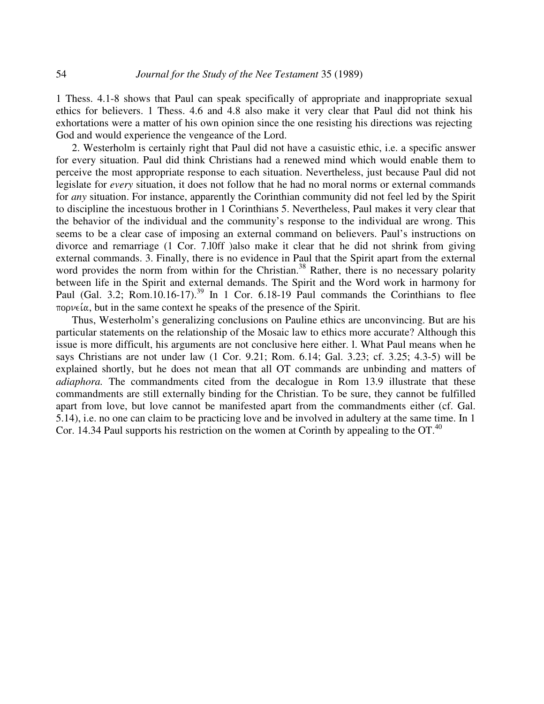1 Thess. 4.1-8 shows that Paul can speak specifically of appropriate and inappropriate sexual ethics for believers. 1 Thess. 4.6 and 4.8 also make it very clear that Paul did not think his exhortations were a matter of his own opinion since the one resisting his directions was rejecting God and would experience the vengeance of the Lord.

2. Westerholm is certainly right that Paul did not have a casuistic ethic, i.e. a specific answer for every situation. Paul did think Christians had a renewed mind which would enable them to perceive the most appropriate response to each situation. Nevertheless, just because Paul did not legislate for *every* situation, it does not follow that he had no moral norms or external commands for *any* situation. For instance, apparently the Corinthian community did not feel led by the Spirit to discipline the incestuous brother in 1 Corinthians 5. Nevertheless, Paul makes it very clear that the behavior of the individual and the community's response to the individual are wrong. This seems to be a clear case of imposing an external command on believers. Paul's instructions on divorce and remarriage (1 Cor. 7.l0ff )also make it clear that he did not shrink from giving external commands. 3. Finally, there is no evidence in Paul that the Spirit apart from the external word provides the norm from within for the Christian.<sup>38</sup> Rather, there is no necessary polarity between life in the Spirit and external demands. The Spirit and the Word work in harmony for Paul (Gal. 3.2; Rom.10.16-17).<sup>39</sup> In 1 Cor. 6.18-19 Paul commands the Corinthians to flee  $\pi$ ορνεία, but in the same context he speaks of the presence of the Spirit.

Thus, Westerholm's generalizing conclusions on Pauline ethics are unconvincing. But are his particular statements on the relationship of the Mosaic law to ethics more accurate? Although this issue is more difficult, his arguments are not conclusive here either. l. What Paul means when he says Christians are not under law (1 Cor. 9.21; Rom. 6.14; Gal. 3.23; cf. 3.25; 4.3-5) will be explained shortly, but he does not mean that all OT commands are unbinding and matters of *adiaphora.* The commandments cited from the decalogue in Rom 13.9 illustrate that these commandments are still externally binding for the Christian. To be sure, they cannot be fulfilled apart from love, but love cannot be manifested apart from the commandments either (cf. Gal. 5.14), i.e. no one can claim to be practicing love and be involved in adultery at the same time. In 1 Cor. 14.34 Paul supports his restriction on the women at Corinth by appealing to the OT.<sup>40</sup>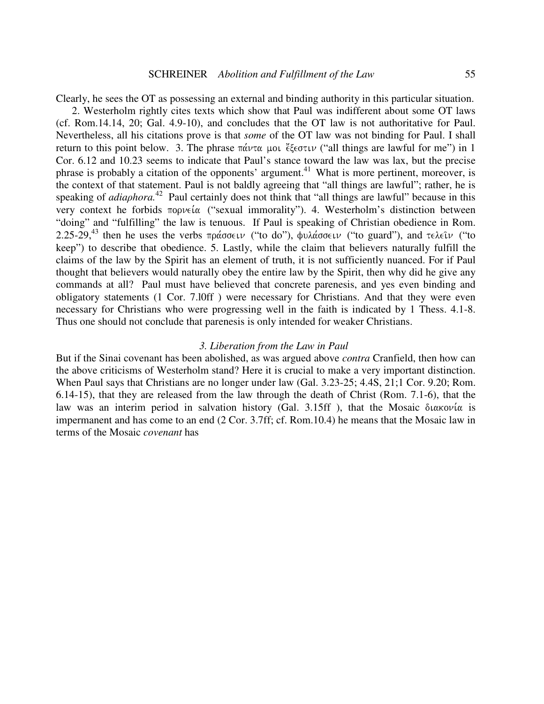Clearly, he sees the OT as possessing an external and binding authority in this particular situation.

2. Westerholm rightly cites texts which show that Paul was indifferent about some OT laws (cf. Rom.14.14, 20; Gal. 4.9-10), and concludes that the OT law is not authoritative for Paul. Nevertheless, all his citations prove is that *some* of the OT law was not binding for Paul. I shall return to this point below. 3. The phrase  $\pi\acute{\alpha}\nu\tau\alpha$  µou  $\epsilon\zeta\epsilon\sigma\tau\iota\nu$  ("all things are lawful for me") in 1 Cor. 6.12 and 10.23 seems to indicate that Paul's stance toward the law was lax, but the precise phrase is probably a citation of the opponents' argument.<sup>41</sup> What is more pertinent, moreover, is the context of that statement. Paul is not baldly agreeing that "all things are lawful"; rather, he is speaking of *adiaphora*.<sup>42</sup> Paul certainly does not think that "all things are lawful" because in this very context he forbids  $\pi$ opvela ("sexual immorality"). 4. Westerholm's distinction between "doing" and "fulfilling" the law is tenuous. If Paul is speaking of Christian obedience in Rom. 2.25-29,<sup>43</sup> then he uses the verbs πράσσειν ("to do"), φυλάσσειν ("to guard"), and τελεῖν ("to keep") to describe that obedience. 5. Lastly, while the claim that believers naturally fulfill the claims of the law by the Spirit has an element of truth, it is not sufficiently nuanced. For if Paul thought that believers would naturally obey the entire law by the Spirit, then why did he give any commands at all? Paul must have believed that concrete parenesis, and yes even binding and obligatory statements (1 Cor. 7.l0ff ) were necessary for Christians. And that they were even necessary for Christians who were progressing well in the faith is indicated by 1 Thess. 4.1-8. Thus one should not conclude that parenesis is only intended for weaker Christians.

#### *3. Liberation from the Law in Paul*

But if the Sinai covenant has been abolished, as was argued above *contra* Cranfield, then how can the above criticisms of Westerholm stand? Here it is crucial to make a very important distinction. When Paul says that Christians are no longer under law (Gal. 3.23-25; 4.4S, 21;1 Cor. 9.20; Rom. 6.14-15), that they are released from the law through the death of Christ (Rom. 7.1-6), that the law was an interim period in salvation history (Gal. 3.15ff ), that the Mosaic  $\delta \iota \alpha \kappa o \nu \iota \alpha$  is impermanent and has come to an end (2 Cor. 3.7ff; cf. Rom.10.4) he means that the Mosaic law in terms of the Mosaic *covenant* has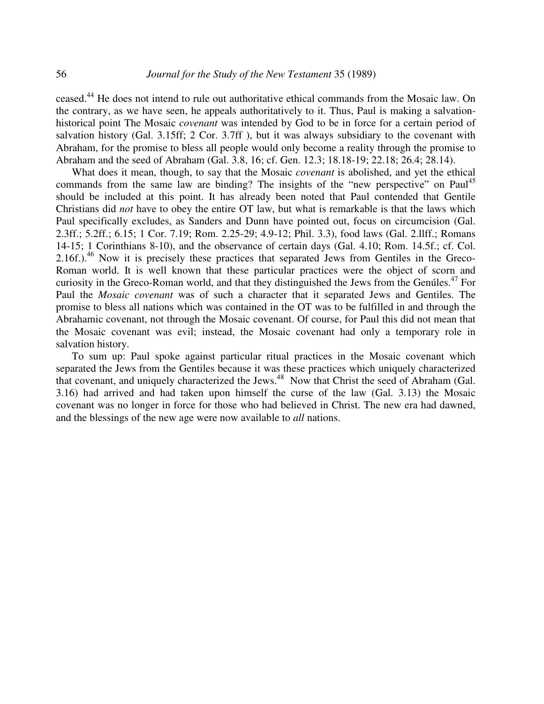ceased.<sup>44</sup> He does not intend to rule out authoritative ethical commands from the Mosaic law. On the contrary, as we have seen, he appeals authoritatively to it. Thus, Paul is making a salvationhistorical point The Mosaic *covenant* was intended by God to be in force for a certain period of salvation history (Gal. 3.15ff; 2 Cor. 3.7ff ), but it was always subsidiary to the covenant with Abraham, for the promise to bless all people would only become a reality through the promise to Abraham and the seed of Abraham (Gal. 3.8, 16; cf. Gen. 12.3; 18.18-19; 22.18; 26.4; 28.14).

What does it mean, though, to say that the Mosaic *covenant* is abolished, and yet the ethical commands from the same law are binding? The insights of the "new perspective" on Paul<sup>45</sup> should be included at this point. It has already been noted that Paul contended that Gentile Christians did *not* have to obey the entire OT law, but what is remarkable is that the laws which Paul specifically excludes, as Sanders and Dunn have pointed out, focus on circumcision (Gal. 2.3ff.; 5.2ff.; 6.15; 1 Cor. 7.19; Rom. 2.25-29; 4.9-12; Phil. 3.3), food laws (Gal. 2.llff.; Romans 14-15; 1 Corinthians 8-10), and the observance of certain days (Gal. 4.10; Rom. 14.5f.; cf. Col. 2.16f.).<sup>46</sup> Now it is precisely these practices that separated Jews from Gentiles in the Greco-Roman world. It is well known that these particular practices were the object of scorn and curiosity in the Greco-Roman world, and that they distinguished the Jews from the Genúles. 47 For Paul the *Mosaic covenant* was of such a character that it separated Jews and Gentiles. The promise to bless all nations which was contained in the OT was to be fulfilled in and through the Abrahamic covenant, not through the Mosaic covenant. Of course, for Paul this did not mean that the Mosaic covenant was evil; instead, the Mosaic covenant had only a temporary role in salvation history.

To sum up: Paul spoke against particular ritual practices in the Mosaic covenant which separated the Jews from the Gentiles because it was these practices which uniquely characterized that covenant, and uniquely characterized the Jews.<sup>48</sup> Now that Christ the seed of Abraham (Gal. 3.16) had arrived and had taken upon himself the curse of the law (Gal. 3.13) the Mosaic covenant was no longer in force for those who had believed in Christ. The new era had dawned, and the blessings of the new age were now available to *all* nations.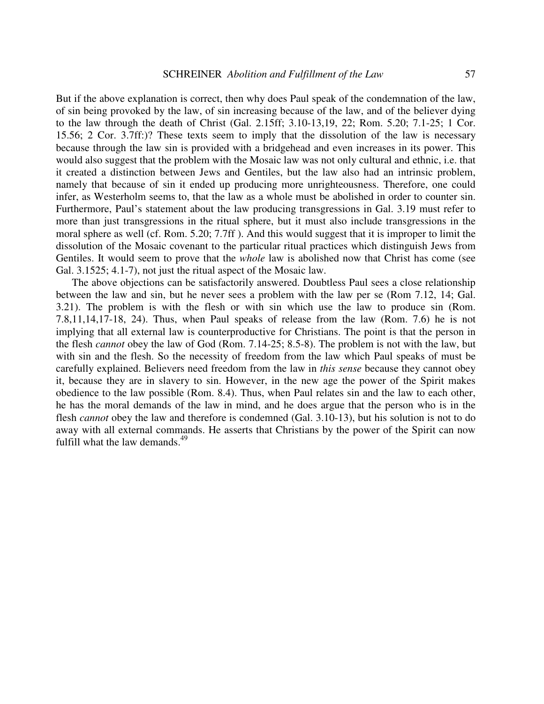But if the above explanation is correct, then why does Paul speak of the condemnation of the law, of sin being provoked by the law, of sin increasing because of the law, and of the believer dying to the law through the death of Christ (Gal. 2.15ff; 3.10-13,19, 22; Rom. 5.20; 7.1-25; 1 Cor. 15.56; 2 Cor. 3.7ff:)? These texts seem to imply that the dissolution of the law is necessary because through the law sin is provided with a bridgehead and even increases in its power. This would also suggest that the problem with the Mosaic law was not only cultural and ethnic, i.e. that it created a distinction between Jews and Gentiles, but the law also had an intrinsic problem, namely that because of sin it ended up producing more unrighteousness. Therefore, one could infer, as Westerholm seems to, that the law as a whole must be abolished in order to counter sin. Furthermore, Paul's statement about the law producing transgressions in Gal. 3.19 must refer to more than just transgressions in the ritual sphere, but it must also include transgressions in the moral sphere as well (cf. Rom. 5.20; 7.7ff ). And this would suggest that it is improper to limit the dissolution of the Mosaic covenant to the particular ritual practices which distinguish Jews from Gentiles. It would seem to prove that the *whole* law is abolished now that Christ has come (see Gal. 3.1525; 4.1-7), not just the ritual aspect of the Mosaic law.

The above objections can be satisfactorily answered. Doubtless Paul sees a close relationship between the law and sin, but he never sees a problem with the law per se (Rom 7.12, 14; Gal. 3.21). The problem is with the flesh or with sin which use the law to produce sin (Rom. 7.8,11,14,17-18, 24). Thus, when Paul speaks of release from the law (Rom. 7.6) he is not implying that all external law is counterproductive for Christians. The point is that the person in the flesh *cannot* obey the law of God (Rom. 7.14-25; 8.5-8). The problem is not with the law, but with sin and the flesh. So the necessity of freedom from the law which Paul speaks of must be carefully explained. Believers need freedom from the law in *this sense* because they cannot obey it, because they are in slavery to sin. However, in the new age the power of the Spirit makes obedience to the law possible (Rom. 8.4). Thus, when Paul relates sin and the law to each other, he has the moral demands of the law in mind, and he does argue that the person who is in the flesh *cannot* obey the law and therefore is condemned (Gal. 3.10-13), but his solution is not to do away with all external commands. He asserts that Christians by the power of the Spirit can now fulfill what the law demands.<sup>49</sup>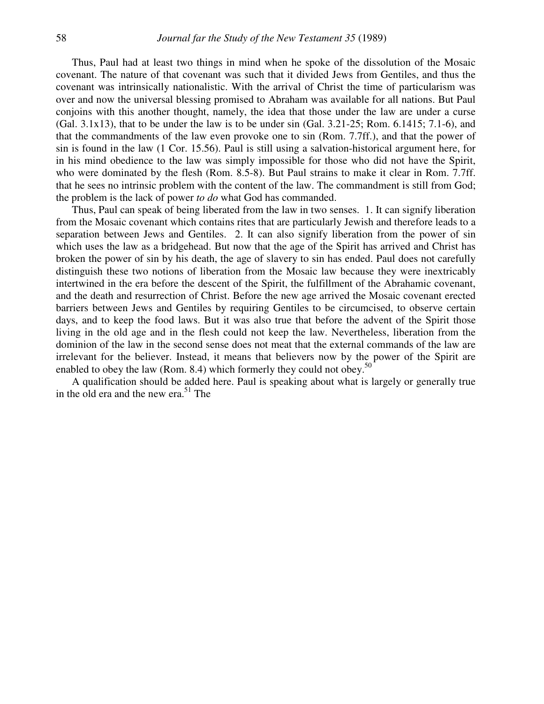Thus, Paul had at least two things in mind when he spoke of the dissolution of the Mosaic covenant. The nature of that covenant was such that it divided Jews from Gentiles, and thus the covenant was intrinsically nationalistic. With the arrival of Christ the time of particularism was over and now the universal blessing promised to Abraham was available for all nations. But Paul conjoins with this another thought, namely, the idea that those under the law are under a curse (Gal. 3.1x13), that to be under the law is to be under sin (Gal. 3.21-25; Rom. 6.1415; 7.1-6), and that the commandments of the law even provoke one to sin (Rom. 7.7ff.), and that the power of sin is found in the law (1 Cor. 15.56). Paul is still using a salvation-historical argument here, for in his mind obedience to the law was simply impossible for those who did not have the Spirit, who were dominated by the flesh (Rom. 8.5-8). But Paul strains to make it clear in Rom. 7.7ff. that he sees no intrinsic problem with the content of the law. The commandment is still from God; the problem is the lack of power *to do* what God has commanded.

Thus, Paul can speak of being liberated from the law in two senses. 1. It can signify liberation from the Mosaic covenant which contains rites that are particularly Jewish and therefore leads to a separation between Jews and Gentiles. 2. It can also signify liberation from the power of sin which uses the law as a bridgehead. But now that the age of the Spirit has arrived and Christ has broken the power of sin by his death, the age of slavery to sin has ended. Paul does not carefully distinguish these two notions of liberation from the Mosaic law because they were inextricably intertwined in the era before the descent of the Spirit, the fulfillment of the Abrahamic covenant, and the death and resurrection of Christ. Before the new age arrived the Mosaic covenant erected barriers between Jews and Gentiles by requiring Gentiles to be circumcised, to observe certain days, and to keep the food laws. But it was also true that before the advent of the Spirit those living in the old age and in the flesh could not keep the law. Nevertheless, liberation from the dominion of the law in the second sense does not meat that the external commands of the law are irrelevant for the believer. Instead, it means that believers now by the power of the Spirit are enabled to obey the law (Rom. 8.4) which formerly they could not obey.<sup>50</sup>

A qualification should be added here. Paul is speaking about what is largely or generally true in the old era and the new era.<sup>51</sup> The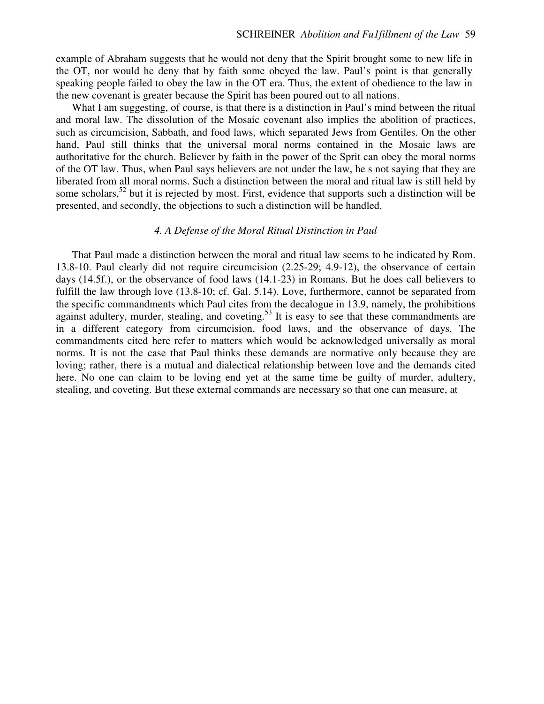example of Abraham suggests that he would not deny that the Spirit brought some to new life in the OT, nor would he deny that by faith some obeyed the law. Paul's point is that generally speaking people failed to obey the law in the OT era. Thus, the extent of obedience to the law in the new covenant is greater because the Spirit has been poured out to all nations.

What I am suggesting, of course, is that there is a distinction in Paul's mind between the ritual and moral law. The dissolution of the Mosaic covenant also implies the abolition of practices, such as circumcision, Sabbath, and food laws, which separated Jews from Gentiles. On the other hand, Paul still thinks that the universal moral norms contained in the Mosaic laws are authoritative for the church. Believer by faith in the power of the Sprit can obey the moral norms of the OT law. Thus, when Paul says believers are not under the law, he s not saying that they are liberated from all moral norms. Such a distinction between the moral and ritual law is still held by some scholars,<sup>52</sup> but it is rejected by most. First, evidence that supports such a distinction will be presented, and secondly, the objections to such a distinction will be handled.

## *4. A Defense of the Moral Ritual Distinction in Paul*

That Paul made a distinction between the moral and ritual law seems to be indicated by Rom. 13.8-10. Paul clearly did not require circumcision (2.25-29; 4.9-12), the observance of certain days (14.5f.), or the observance of food laws (14.1-23) in Romans. But he does call believers to fulfill the law through love (13.8-10; cf. Gal. 5.14). Love, furthermore, cannot be separated from the specific commandments which Paul cites from the decalogue in 13.9, namely, the prohibitions against adultery, murder, stealing, and coveting.<sup>53</sup> It is easy to see that these commandments are in a different category from circumcision, food laws, and the observance of days. The commandments cited here refer to matters which would be acknowledged universally as moral norms. It is not the case that Paul thinks these demands are normative only because they are loving; rather, there is a mutual and dialectical relationship between love and the demands cited here. No one can claim to be loving end yet at the same time be guilty of murder, adultery, stealing, and coveting. But these external commands are necessary so that one can measure, at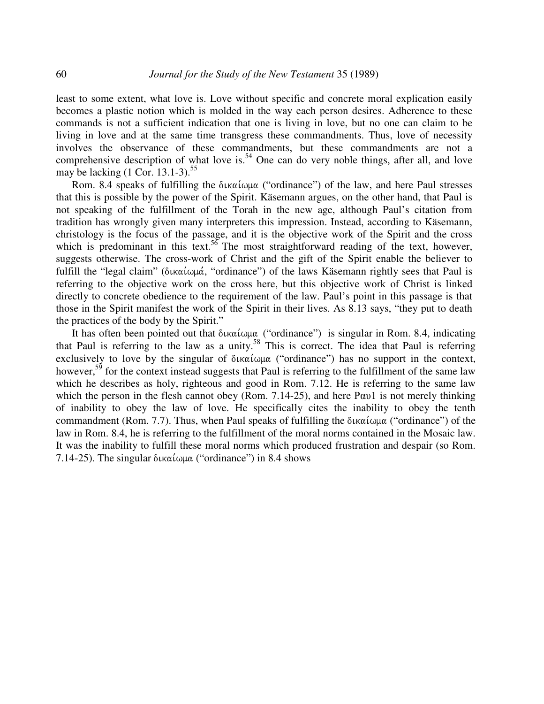least to some extent, what love is. Love without specific and concrete moral explication easily becomes a plastic notion which is molded in the way each person desires. Adherence to these commands is not a sufficient indication that one is living in love, but no one can claim to be living in love and at the same time transgress these commandments. Thus, love of necessity involves the observance of these commandments, but these commandments are not a comprehensive description of what love is.<sup>54</sup> One can do very noble things, after all, and love may be lacking (1 Cor. 13.1-3).<sup>55</sup>

Rom. 8.4 speaks of fulfilling the δικαίωμα ("ordinance") of the law, and here Paul stresses that this is possible by the power of the Spirit. Käsemann argues, on the other hand, that Paul is not speaking of the fulfillment of the Torah in the new age, although Paul's citation from tradition has wrongly given many interpreters this impression. Instead, according to Käsemann, christology is the focus of the passage, and it is the objective work of the Spirit and the cross which is predominant in this text.<sup>56</sup> The most straightforward reading of the text, however, suggests otherwise. The cross-work of Christ and the gift of the Spirit enable the believer to fulfill the "legal claim" (δικαίωμά, "ordinance") of the laws Käsemann rightly sees that Paul is referring to the objective work on the cross here, but this objective work of Christ is linked directly to concrete obedience to the requirement of the law. Paul's point in this passage is that those in the Spirit manifest the work of the Spirit in their lives. As 8.13 says, "they put to death the practices of the body by the Spirit."

It has often been pointed out that δικαίωμα ("ordinance") is singular in Rom. 8.4, indicating that Paul is referring to the law as a unity.<sup>58</sup> This is correct. The idea that Paul is referring exclusively to love by the singular of  $\delta$ ικαίωμα ("ordinance") has no support in the context, however,<sup>59</sup> for the context instead suggests that Paul is referring to the fulfillment of the same law which he describes as holy, righteous and good in Rom. 7.12. He is referring to the same law which the person in the flesh cannot obey (Rom. 7.14-25), and here Pav1 is not merely thinking of inability to obey the law of love. He specifically cites the inability to obey the tenth commandment (Rom. 7.7). Thus, when Paul speaks of fulfilling the δικαίωμα ("ordinance") of the law in Rom. 8.4, he is referring to the fulfillment of the moral norms contained in the Mosaic law. It was the inability to fulfill these moral norms which produced frustration and despair (so Rom. 7.14-25). The singular  $\delta$ ικαίωμα ("ordinance") in 8.4 shows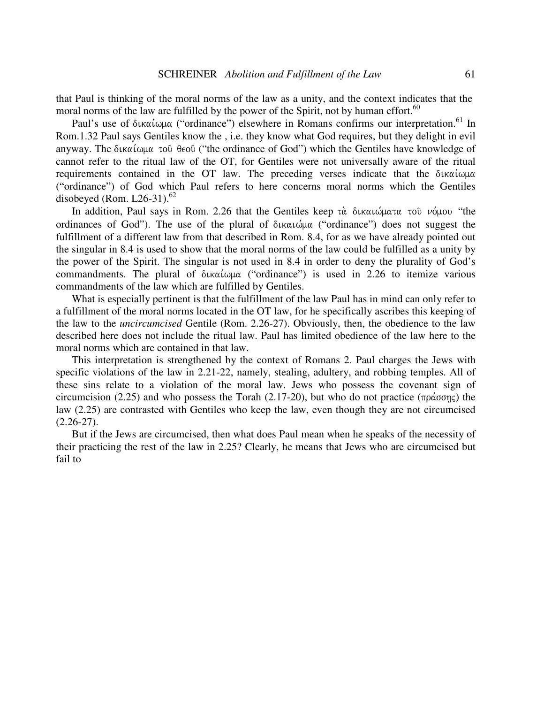that Paul is thinking of the moral norms of the law as a unity, and the context indicates that the moral norms of the law are fulfilled by the power of the Spirit, not by human effort.<sup>60</sup>

Paul's use of δικαίωμα ("ordinance") elsewhere in Romans confirms our interpretation.<sup>61</sup> In Rom.1.32 Paul says Gentiles know the , i.e. they know what God requires, but they delight in evil anyway. The δικαίωμα τοῦ θεοῦ ("the ordinance of God") which the Gentiles have knowledge of cannot refer to the ritual law of the OT, for Gentiles were not universally aware of the ritual requirements contained in the OT law. The preceding verses indicate that the ("ordinance") of God which Paul refers to here concerns moral norms which the Gentiles disobeyed (Rom. L26-31). $^{62}$ 

In addition, Paul says in Rom. 2.26 that the Gentiles keep τὰ δικαιώματα τοῦ νόμου "the ordinances of God"). The use of the plural of δικαιώμα ("ordinance") does not suggest the fulfillment of a different law from that described in Rom. 8.4, for as we have already pointed out the singular in 8.4 is used to show that the moral norms of the law could be fulfilled as a unity by the power of the Spirit. The singular is not used in 8.4 in order to deny the plurality of God's commandments. The plural of  $\delta$ ικαίωμα ("ordinance") is used in 2.26 to itemize various commandments of the law which are fulfilled by Gentiles.

What is especially pertinent is that the fulfillment of the law Paul has in mind can only refer to a fulfillment of the moral norms located in the OT law, for he specifically ascribes this keeping of the law to the *uncircumcised* Gentile (Rom. 2.26-27). Obviously, then, the obedience to the law described here does not include the ritual law. Paul has limited obedience of the law here to the moral norms which are contained in that law.

This interpretation is strengthened by the context of Romans 2. Paul charges the Jews with specific violations of the law in 2.21-22, namely, stealing, adultery, and robbing temples. All of these sins relate to a violation of the moral law. Jews who possess the covenant sign of circumcision (2.25) and who possess the Torah (2.17-20), but who do not practice ( $\pi \rho \alpha \sigma \eta \varsigma$ ) the law (2.25) are contrasted with Gentiles who keep the law, even though they are not circumcised  $(2.26 - 27)$ .

But if the Jews are circumcised, then what does Paul mean when he speaks of the necessity of their practicing the rest of the law in 2.25? Clearly, he means that Jews who are circumcised but fail to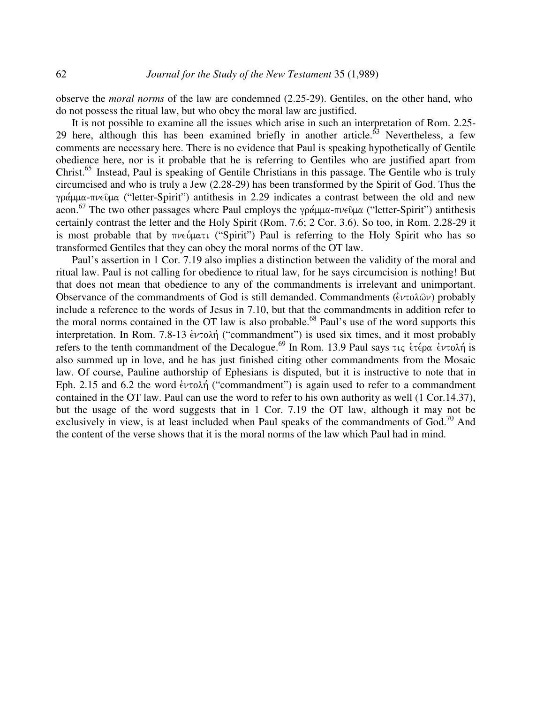observe the *moral norms* of the law are condemned (2.25-29). Gentiles, on the other hand, who do not possess the ritual law, but who obey the moral law are justified.

It is not possible to examine all the issues which arise in such an interpretation of Rom. 2.25- 29 here, although this has been examined briefly in another article. $^{63}$  Nevertheless, a few comments are necessary here. There is no evidence that Paul is speaking hypothetically of Gentile obedience here, nor is it probable that he is referring to Gentiles who are justified apart from Christ.<sup>65</sup> Instead, Paul is speaking of Gentile Christians in this passage. The Gentile who is truly circumcised and who is truly a Jew (2.28-29) has been transformed by the Spirit of God. Thus the γράμμα-πνεῦμα ("letter-Spirit") antithesis in 2.29 indicates a contrast between the old and new aeon.<sup>67</sup> The two other passages where Paul employs the γράμμα-πνεῦμα ("letter-Spirit") antithesis certainly contrast the letter and the Holy Spirit (Rom. 7.6; 2 Cor. 3.6). So too, in Rom. 2.28-29 it is most probable that by πνεύματι ("Spirit") Paul is referring to the Holy Spirit who has so transformed Gentiles that they can obey the moral norms of the OT law.

Paul's assertion in 1 Cor. 7.19 also implies a distinction between the validity of the moral and ritual law. Paul is not calling for obedience to ritual law, for he says circumcision is nothing! But that does not mean that obedience to any of the commandments is irrelevant and unimportant. Observance of the commandments of God is still demanded. Commandments  $(\dot{\epsilon} \nu \tau \circ \lambda \hat{\omega} \nu)$  probably include a reference to the words of Jesus in 7.10, but that the commandments in addition refer to the moral norms contained in the OT law is also probable.<sup>68</sup> Paul's use of the word supports this interpretation. In Rom. 7.8-13  $\epsilon \nu \tau$ o $\lambda \eta$  ("commandment") is used six times, and it most probably refers to the tenth commandment of the Decalogue.<sup>69</sup> In Rom. 13.9 Paul says τις ετέρα εντολή is also summed up in love, and he has just finished citing other commandments from the Mosaic law. Of course, Pauline authorship of Ephesians is disputed, but it is instructive to note that in Eph. 2.15 and 6.2 the word  $\epsilon \nu \tau o \lambda \eta$  ("commandment") is again used to refer to a commandment contained in the OT law. Paul can use the word to refer to his own authority as well (1 Cor.14.37), but the usage of the word suggests that in 1 Cor. 7.19 the OT law, although it may not be exclusively in view, is at least included when Paul speaks of the commandments of God.<sup>70</sup> And the content of the verse shows that it is the moral norms of the law which Paul had in mind.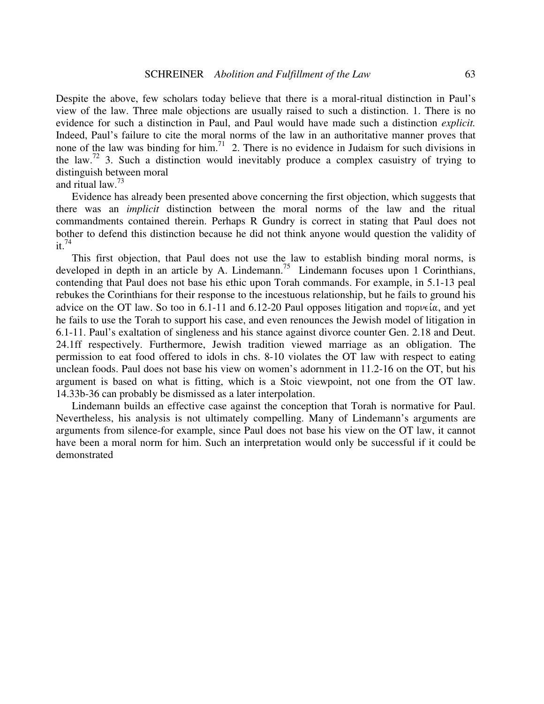Despite the above, few scholars today believe that there is a moral-ritual distinction in Paul's view of the law. Three male objections are usually raised to such a distinction. 1. There is no evidence for such a distinction in Paul, and Paul would have made such a distinction *explicit.* Indeed, Paul's failure to cite the moral norms of the law in an authoritative manner proves that none of the law was binding for him.<sup>71</sup> 2. There is no evidence in Judaism for such divisions in the law.<sup>72</sup> 3. Such a distinction would inevitably produce a complex casuistry of trying to distinguish between moral

and ritual law. 73

Evidence has already been presented above concerning the first objection, which suggests that there was an *implicit* distinction between the moral norms of the law and the ritual commandments contained therein. Perhaps R Gundry is correct in stating that Paul does not bother to defend this distinction because he did not think anyone would question the validity of it. 74

This first objection, that Paul does not use the law to establish binding moral norms, is developed in depth in an article by A. Lindemann.<sup>75</sup> Lindemann focuses upon 1 Corinthians, contending that Paul does not base his ethic upon Torah commands. For example, in 5.1-13 peal rebukes the Corinthians for their response to the incestuous relationship, but he fails to ground his advice on the OT law. So too in 6.1-11 and 6.12-20 Paul opposes litigation and  $\pi$ opvela, and yet he fails to use the Torah to support his case, and even renounces the Jewish model of litigation in 6.1-11. Paul's exaltation of singleness and his stance against divorce counter Gen. 2.18 and Deut. 24.1ff respectively. Furthermore, Jewish tradition viewed marriage as an obligation. The permission to eat food offered to idols in chs. 8-10 violates the OT law with respect to eating unclean foods. Paul does not base his view on women's adornment in 11.2-16 on the OT, but his argument is based on what is fitting, which is a Stoic viewpoint, not one from the OT law. 14.33b-36 can probably be dismissed as a later interpolation.

Lindemann builds an effective case against the conception that Torah is normative for Paul. Nevertheless, his analysis is not ultimately compelling. Many of Lindemann's arguments are arguments from silence-for example, since Paul does not base his view on the OT law, it cannot have been a moral norm for him. Such an interpretation would only be successful if it could be demonstrated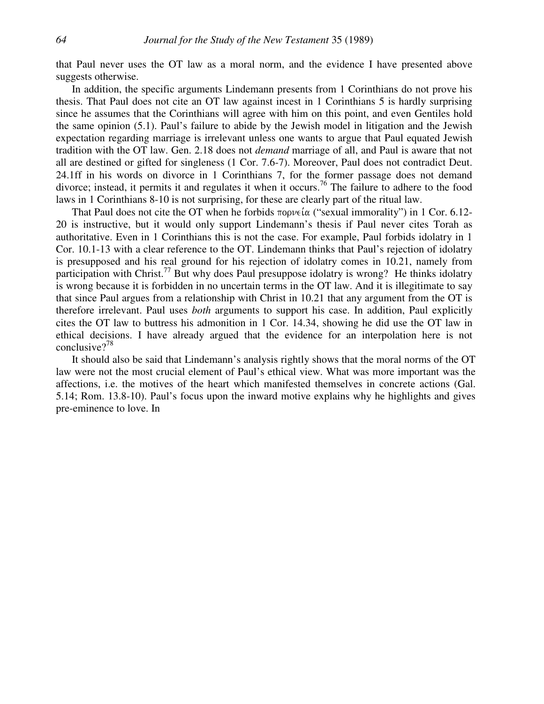that Paul never uses the OT law as a moral norm, and the evidence I have presented above suggests otherwise.

In addition, the specific arguments Lindemann presents from 1 Corinthians do not prove his thesis. That Paul does not cite an OT law against incest in 1 Corinthians 5 is hardly surprising since he assumes that the Corinthians will agree with him on this point, and even Gentiles hold the same opinion (5.1). Paul's failure to abide by the Jewish model in litigation and the Jewish expectation regarding marriage is irrelevant unless one wants to argue that Paul equated Jewish tradition with the OT law. Gen. 2.18 does not *demand* marriage of all, and Paul is aware that not all are destined or gifted for singleness (1 Cor. 7.6-7). Moreover, Paul does not contradict Deut. 24.1ff in his words on divorce in 1 Corinthians 7, for the former passage does not demand divorce; instead, it permits it and regulates it when it occurs.<sup>76</sup> The failure to adhere to the food laws in 1 Corinthians 8-10 is not surprising, for these are clearly part of the ritual law.

That Paul does not cite the OT when he forbids  $\pi$  opve $\alpha$  ("sexual immorality") in 1 Cor. 6.12-20 is instructive, but it would only support Lindemann's thesis if Paul never cites Torah as authoritative. Even in 1 Corinthians this is not the case. For example, Paul forbids idolatry in 1 Cor. 10.1-13 with a clear reference to the OT. Lindemann thinks that Paul's rejection of idolatry is presupposed and his real ground for his rejection of idolatry comes in 10.21, namely from participation with Christ.<sup>77</sup> But why does Paul presuppose idolatry is wrong? He thinks idolatry is wrong because it is forbidden in no uncertain terms in the OT law. And it is illegitimate to say that since Paul argues from a relationship with Christ in 10.21 that any argument from the OT is therefore irrelevant. Paul uses *both* arguments to support his case. In addition, Paul explicitly cites the OT law to buttress his admonition in 1 Cor. 14.34, showing he did use the OT law in ethical decisions. I have already argued that the evidence for an interpolation here is not conclusive? 78

It should also be said that Lindemann's analysis rightly shows that the moral norms of the OT law were not the most crucial element of Paul's ethical view. What was more important was the affections, i.e. the motives of the heart which manifested themselves in concrete actions (Gal. 5.14; Rom. 13.8-10). Paul's focus upon the inward motive explains why he highlights and gives pre-eminence to love. In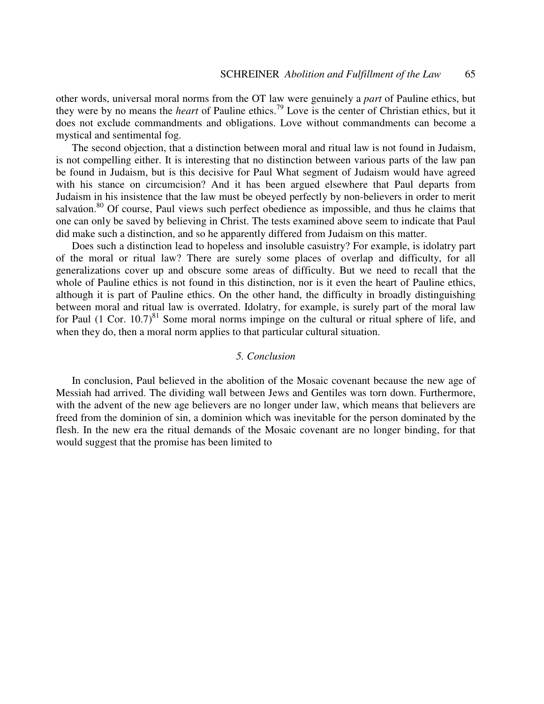other words, universal moral norms from the OT law were genuinely a *part* of Pauline ethics, but they were by no means the *heart* of Pauline ethics. 79 Love is the center of Christian ethics, but it does not exclude commandments and obligations. Love without commandments can become a mystical and sentimental fog.

The second objection, that a distinction between moral and ritual law is not found in Judaism, is not compelling either. It is interesting that no distinction between various parts of the law pan be found in Judaism, but is this decisive for Paul What segment of Judaism would have agreed with his stance on circumcision? And it has been argued elsewhere that Paul departs from Judaism in his insistence that the law must be obeyed perfectly by non-believers in order to merit salvaúon.<sup>80</sup> Of course, Paul views such perfect obedience as impossible, and thus he claims that one can only be saved by believing in Christ. The tests examined above seem to indicate that Paul did make such a distinction, and so he apparently differed from Judaism on this matter.

Does such a distinction lead to hopeless and insoluble casuistry? For example, is idolatry part of the moral or ritual law? There are surely some places of overlap and difficulty, for all generalizations cover up and obscure some areas of difficulty. But we need to recall that the whole of Pauline ethics is not found in this distinction, nor is it even the heart of Pauline ethics, although it is part of Pauline ethics. On the other hand, the difficulty in broadly distinguishing between moral and ritual law is overrated. Idolatry, for example, is surely part of the moral law for Paul (1 Cor. 10.7)<sup>81</sup> Some moral norms impinge on the cultural or ritual sphere of life, and when they do, then a moral norm applies to that particular cultural situation.

## *5. Conclusion*

In conclusion, Paul believed in the abolition of the Mosaic covenant because the new age of Messiah had arrived. The dividing wall between Jews and Gentiles was torn down. Furthermore, with the advent of the new age believers are no longer under law, which means that believers are freed from the dominion of sin, a dominion which was inevitable for the person dominated by the flesh. In the new era the ritual demands of the Mosaic covenant are no longer binding, for that would suggest that the promise has been limited to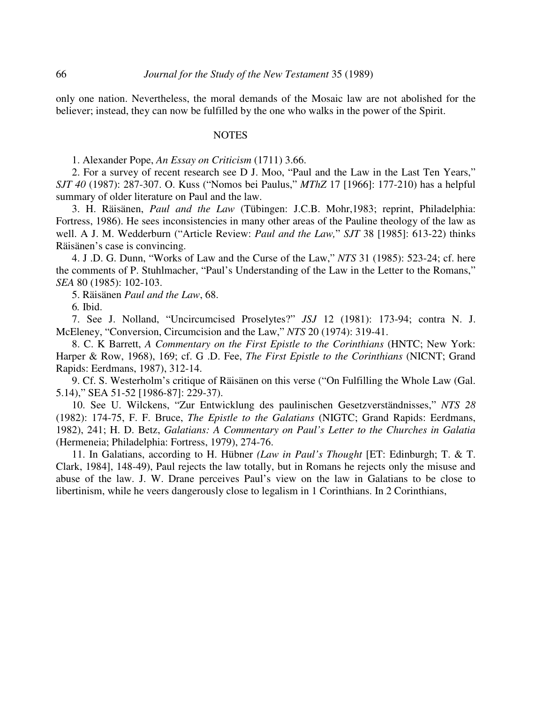only one nation. Nevertheless, the moral demands of the Mosaic law are not abolished for the believer; instead, they can now be fulfilled by the one who walks in the power of the Spirit.

#### **NOTES**

1. Alexander Pope, *An Essay on Criticism* (1711) 3.66.

2. For a survey of recent research see D J. Moo, "Paul and the Law in the Last Ten Years," *SJT 40* (1987): 287-307. O. Kuss ("Nomos bei Paulus," *MThZ* 17 [1966]: 177-210) has a helpful summary of older literature on Paul and the law.

3. H. Räisänen, *Paul and the Law* (Tübingen: J.C.B. Mohr,1983; reprint, Philadelphia: Fortress, 1986). He sees inconsistencies in many other areas of the Pauline theology of the law as well. A J. M. Wedderburn ("Article Review: *Paul and the Law,*" *SJT* 38 [1985]: 613-22) thinks Räisänen's case is convincing.

4. J .D. G. Dunn, "Works of Law and the Curse of the Law," *NTS* 31 (1985): 523-24; cf. here the comments of P. Stuhlmacher, "Paul's Understanding of the Law in the Letter to the Romans," *SEA* 80 (1985): 102-103.

5. Räisänen *Paul and the Law*, 68.

6*.* Ibid.

7. See J. Nolland, "Uncircumcised Proselytes?" *JSJ* 12 (1981): 173-94; contra N. J. McEleney, "Conversion, Circumcision and the Law," *NTS* 20 (1974): 319-41.

8. C. K Barrett, *A Commentary on the First Epistle to the Corinthians* (HNTC; New York: Harper & Row, 1968), 169; cf. G .D. Fee, *The First Epistle to the Corinthians* (NICNT; Grand Rapids: Eerdmans, 1987), 312-14.

9. Cf. S. Westerholm's critique of Räisänen on this verse ("On Fulfilling the Whole Law (Gal. 5.14)," SEA 51-52 [1986-87]: 229-37).

10. See U. Wilckens, "Zur Entwicklung des paulinischen Gesetzverständnisses," *NTS 28* (1982): 174-75, F. F. Bruce, *The Epistle to the Galatians* (NIGTC; Grand Rapids: Eerdmans, 1982), 241; H. D. Betz, *Galatians: A Commentary on Paul's Letter to the Churches in Galatia* (Hermeneia; Philadelphia: Fortress, 1979), 274-76.

11. In Galatians, according to H. Hübner *(Law in Paul's Thought* [ET: Edinburgh; T. & T. Clark, 1984], 148-49), Paul rejects the law totally, but in Romans he rejects only the misuse and abuse of the law. J. W. Drane perceives Paul's view on the law in Galatians to be close to libertinism, while he veers dangerously close to legalism in 1 Corinthians. In 2 Corinthians,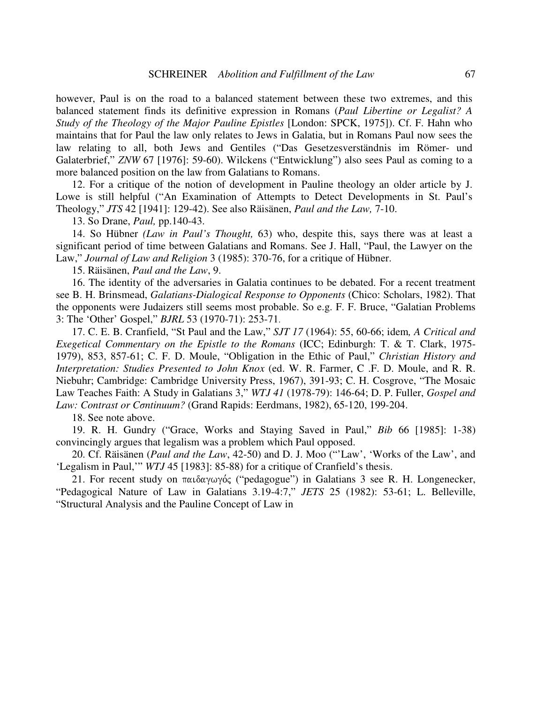however, Paul is on the road to a balanced statement between these two extremes, and this balanced statement finds its definitive expression in Romans (*Paul Libertine or Legalist? A Study of the Theology of the Major Pauline Epistles* [London: SPCK, 1975]). Cf. F. Hahn who maintains that for Paul the law only relates to Jews in Galatia, but in Romans Paul now sees the law relating to all, both Jews and Gentiles ("Das Gesetzesverständnis im Römer- und Galaterbrief," ZNW 67 [1976]: 59-60). Wilckens ("Entwicklung") also sees Paul as coming to a more balanced position on the law from Galatians to Romans.

12. For a critique of the notion of development in Pauline theology an older article by J. Lowe is still helpful ("An Examination of Attempts to Detect Developments in St. Paul's Theology," *JTS* 42 [1941]: 129-42). See also Räisänen, *Paul and the Law,* 7-10.

13. So Drane, *Paul,* pp.140-43.

14. So Hübner *(Law in Paul's Thought,* 63) who, despite this, says there was at least a significant period of time between Galatians and Romans. See J. Hall, "Paul, the Lawyer on the Law," *Journal of Law and Religion* 3 (1985): 370-76, for a critique of Hübner.

15. Räisänen, *Paul and the Law*, 9.

16. The identity of the adversaries in Galatia continues to be debated. For a recent treatment see B. H. Brinsmead, *Galatians-Dialogical Response to Opponents* (Chico: Scholars, 1982). That the opponents were Judaizers still seems most probable. So e.g. F. F. Bruce, "Galatian Problems 3: The 'Other' Gospel," *BJRL* 53 (1970-71): 253-71.

17. C. E. B. Cranfield, "St Paul and the Law," *SJT 17* (1964): 55, 60-66; idem*, A Critical and Exegetical Commentary on the Epistle to the Romans* (ICC; Edinburgh: T. & T. Clark, 1975- 1979), 853, 857-61; C. F. D. Moule, "Obligation in the Ethic of Paul," *Christian History and Interpretation: Studies Presented to John Knox* (ed. W. R. Farmer, C .F. D. Moule, and R. R. Niebuhr; Cambridge: Cambridge University Press, 1967), 391-93; C. H. Cosgrove, "The Mosaic Law Teaches Faith: A Study in Galatians 3," *WTJ 41* (1978-79): 146-64; D. P. Fuller, *Gospel and Law: Contrast or Cntinuum?* (Grand Rapids: Eerdmans, 1982), 65-120, 199-204.

18. See note above.

19. R. H. Gundry ("Grace, Works and Staying Saved in Paul," *Bib* 66 [1985]: 1-38) convincingly argues that legalism was a problem which Paul opposed.

20. Cf. Räisänen (*Paul and the Law*, 42-50) and D. J. Moo ("'Law', 'Works of the Law', and 'Legalism in Paul,'" *WTJ* 45 [1983]: 85-88) for a critique of Cranfield's thesis.

21. For recent study on παιδαγωγός ("pedagogue") in Galatians 3 see R. H. Longenecker, "Pedagogical Nature of Law in Galatians 3.19-4:7," *JETS* 25 (1982): 53-61; L. Belleville, "Structural Analysis and the Pauline Concept of Law in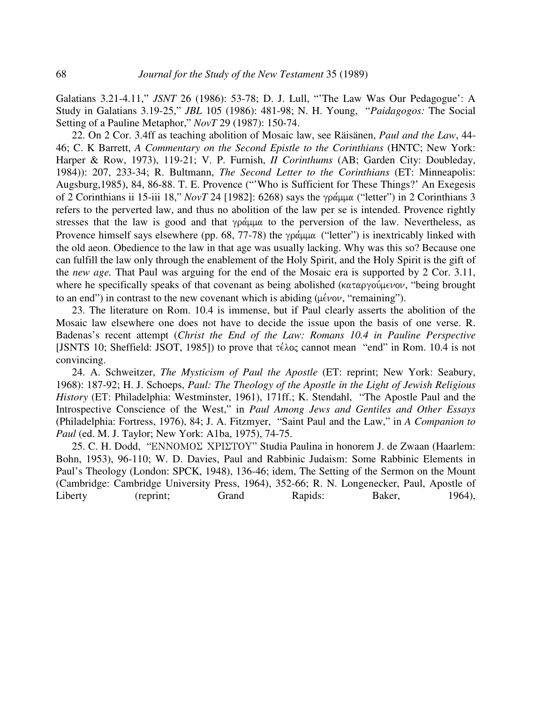Galatians 3.21-4.11," *JSNT* 26 (1986): 53-78; D. J. Lull, "'The Law Was Our Pedagogue': A Study in Galatians 3.19-25," *JBL* 105 (1986): 481-98; N. H. Young, "*Paidagogos:* The Social Setting of a Pauline Metaphor," *NovT* 29 (1987): 150-74.

22. On 2 Cor. 3.4ff as teaching abolition of Mosaic law, see Räisänen, *Paul and the Law*, 44- 46; C. K Barrett, *A Commentary on the Second Epistle to the Corinthians* (HNTC; New York: Harper & Row, 1973), 119-21; V. P. Furnish, *II Corinthums* (AB; Garden City: Doubleday, 1984)): 207, 233-34; R. Bultmann, *The Second Letter to the Corinthians* (ET: Minneapolis: Augsburg,1985), 84, 86-88. T. E. Provence ("'Who is Sufficient for These Things?' An Exegesis of 2 Corinthians ii 15-iii 18," *NovT* 24 [1982]: 6268) says the γράμμα ("letter") in 2 Corinthians 3 refers to the perverted law, and thus no abolition of the law per se is intended. Provence rightly stresses that the law is good and that γράμμα to the perversion of the law. Nevertheless, as Provence himself says elsewhere (pp. 68, 77-78) the  $\gamma \rho \dot{\alpha} \mu \mu \alpha$  ("letter") is inextricably linked with the old aeon. Obedience to the law in that age was usually lacking. Why was this so? Because one can fulfill the law only through the enablement of the Holy Spirit, and the Holy Spirit is the gift of the *new age.* That Paul was arguing for the end of the Mosaic era is supported by 2 Cor. 3.11, where he specifically speaks of that covenant as being abolished (καταργούμενον, "being brought to an end") in contrast to the new covenant which is abiding ( $\mu \epsilon \nu o \nu$ , "remaining").

23. The literature on Rom. 10.4 is immense, but if Paul clearly asserts the abolition of the Mosaic law elsewhere one does not have to decide the issue upon the basis of one verse. R. Badenas's recent attempt (*Christ the End of the Law: Romans 10.4 in Pauline Perspective* [JSNTS 10; Sheffield: JSOT, 1985]) to prove that  $\tau \in \Lambda$  cannot mean "end" in Rom. 10.4 is not convincing.

24. A. Schweitzer, *The Mysticism of Paul the Apostle* (ET: reprint; New York: Seabury, 1968): 187-92; H. J. Schoeps, *Paul: The Theology of the Apostle in the Light of Jewish Religious History* (ET: Philadelphia: Westminster, 1961), 171ff.; K. Stendahl, "The Apostle Paul and the Introspective Conscience of the West," in *Paul Among Jews and Gentiles and Other Essays* (Philadelphia: Fortress, 1976), 84; J. A. Fitzmyer, "Saint Paul and the Law," in *A Companion to Paul* (ed. M. J. Taylor; New York: A1ba, 1975), 74-75.

25. C. H. Dodd, "ENNOMOE XPIETOY" Studia Paulina in honorem J. de Zwaan (Haarlem: Bohn, 1953), 96-110; W. D. Davies, Paul and Rabbinic Judaism: Some Rabbinic Elements in Paul's Theology (London: SPCK, 1948), 136-46; idem, The Setting of the Sermon on the Mount (Cambridge: Cambridge University Press, 1964), 352-66; R. N. Longenecker, Paul, Apostle of Liberty (reprint; Grand Rapids: Baker, 1964),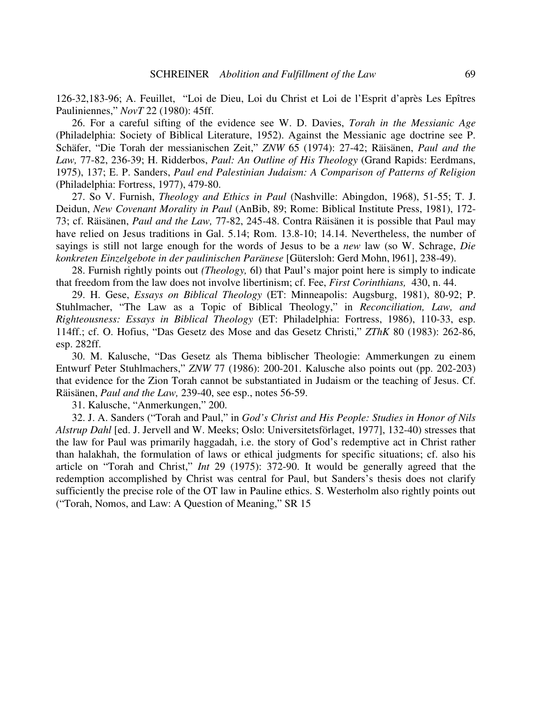126-32,183-96; A. Feuillet, "Loi de Dieu, Loi du Christ et Loi de l'Esprit d'après Les Epîtres Pauliniennes," *NovT* 22 (1980): 45ff.

26. For a careful sifting of the evidence see W. D. Davies, *Torah in the Messianic Age* (Philadelphia: Society of Biblical Literature, 1952). Against the Messianic age doctrine see P. Schäfer, "Die Torah der messianischen Zeit," *ZNW* 65 (1974): 27-42; Räisänen, *Paul and the Law,* 77-82, 236-39; H. Ridderbos, *Paul: An Outline of His Theology* (Grand Rapids: Eerdmans, 1975), 137; E. P. Sanders, *Paul end Palestinian Judaism: A Comparison of Patterns of Religion* (Philadelphia: Fortress, 1977), 479-80.

27. So V. Furnish, *Theology and Ethics in Paul* (Nashville: Abingdon, 1968), 51-55; T. J. Deidun, *New Covenant Morality in Paul* (AnBib, 89; Rome: Biblical Institute Press, 1981), 172- 73; cf. Räisänen, *Paul and the Law,* 77-82, 245-48. Contra Räisänen it is possible that Paul may have relied on Jesus traditions in Gal. 5.14; Rom. 13.8-10; 14.14. Nevertheless, the number of sayings is still not large enough for the words of Jesus to be a *new* law (so W. Schrage, *Die konkreten Einzelgebote in der paulinischen Paränese* [Gütersloh: Gerd Mohn, l961], 238-49).

28. Furnish rightly points out *(Theology,* 6l) that Paul's major point here is simply to indicate that freedom from the law does not involve libertinism; cf. Fee, *First Corinthians,* 430, n. 44.

29. H. Gese, *Essays on Biblical Theology* (ET: Minneapolis: Augsburg, 1981), 80-92; P. Stuhlmacher, "The Law as a Topic of Biblical Theology," in *Reconciliation, Law, and Righteousness: Essays in Biblical Theology* (ET: Philadelphia: Fortress, 1986), 110-33, esp. 114ff.; cf. O. Hofius, "Das Gesetz des Mose and das Gesetz Christi," *ZThK* 80 (1983): 262-86, esp. 282ff.

30. M. Kalusche, "Das Gesetz als Thema biblischer Theologie: Ammerkungen zu einem Entwurf Peter Stuhlmachers," *ZNW* 77 (1986): 200-201. Kalusche also points out (pp. 202-203) that evidence for the Zion Torah cannot be substantiated in Judaism or the teaching of Jesus. Cf. Räisänen, *Paul and the Law,* 239-40, see esp., notes 56-59.

31. Kalusche, "Anmerkungen," 200.

32. J. A. Sanders ("Torah and Paul," in *God's Christ and His People: Studies in Honor of Nils Alstrup Dahl* [ed. J. Jervell and W. Meeks; Oslo: Universitetsförlaget, 1977], 132-40) stresses that the law for Paul was primarily haggadah, i.e. the story of God's redemptive act in Christ rather than halakhah, the formulation of laws or ethical judgments for specific situations; cf. also his article on "Torah and Christ," *Int* 29 (1975): 372-90. It would be generally agreed that the redemption accomplished by Christ was central for Paul, but Sanders's thesis does not clarify sufficiently the precise role of the OT law in Pauline ethics. S. Westerholm also rightly points out ("Torah, Nomos, and Law: A Question of Meaning," SR 15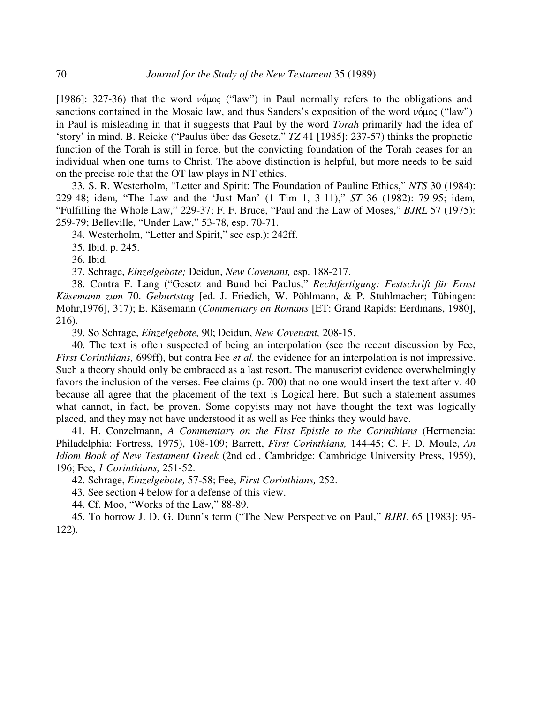[1986]: 327-36) that the word  $\nu \phi \mu o \zeta$  ("law") in Paul normally refers to the obligations and sanctions contained in the Mosaic law, and thus Sanders's exposition of the word  $\nu$  ("law") in Paul is misleading in that it suggests that Paul by the word *Torah* primarily had the idea of 'story' in mind. B. Reicke ("Paulus über das Gesetz," *TZ* 41 [1985]: 237-57) thinks the prophetic function of the Torah is still in force, but the convicting foundation of the Torah ceases for an individual when one turns to Christ. The above distinction is helpful, but more needs to be said on the precise role that the OT law plays in NT ethics.

33. S. R. Westerholm, "Letter and Spirit: The Foundation of Pauline Ethics," *NTS* 30 (1984): 229-48; idem*,* "The Law and the 'Just Man' (1 Tim 1, 3-11)," *ST* 36 (1982): 79-95; idem*,* "Fulfilling the Whole Law," 229-37; F. F. Bruce, "Paul and the Law of Moses," *BJRL* 57 (1975): 259-79; Belleville, "Under Law," 53-78, esp. 70-71.

34. Westerholm, "Letter and Spirit," see esp.): 242ff.

35. Ibid. p. 245.

36. Ibid*.*

37. Schrage, *Einzelgebote;* Deidun, *New Covenant,* esp. 188-217.

38. Contra F. Lang ("Gesetz and Bund bei Paulus," *Rechtfertigung: Festschrift für Ernst Käsemann zum* 70. *Geburtstag* [ed. J. Friedich, W. Pöhlmann, & P. Stuhlmacher; Tübingen: Mohr,1976], 317); E. Käsemann (*Commentary on Romans* [ET: Grand Rapids: Eerdmans, 1980], 216).

39. So Schrage, *Einzelgebote,* 90; Deidun, *New Covenant,* 208-15.

40. The text is often suspected of being an interpolation (see the recent discussion by Fee, *First Corinthians,* 699ff), but contra Fee *et al.* the evidence for an interpolation is not impressive. Such a theory should only be embraced as a last resort. The manuscript evidence overwhelmingly favors the inclusion of the verses. Fee claims (p. 700) that no one would insert the text after v. 40 because all agree that the placement of the text is Logical here. But such a statement assumes what cannot, in fact, be proven. Some copyists may not have thought the text was logically placed, and they may not have understood it as well as Fee thinks they would have.

41. H. Conzelmann, *A Commentary on the First Epistle to the Corinthians* (Hermeneia: Philadelphia: Fortress, 1975), 108-109; Barrett, *First Corinthians,* 144-45; C. F. D. Moule, *An Idiom Book of New Testament Greek* (2nd ed., Cambridge: Cambridge University Press, 1959), 196; Fee, *1 Corinthians,* 251-52.

42. Schrage, *Einzelgebote,* 57-58; Fee, *First Corinthians,* 252.

43. See section 4 below for a defense of this view.

44. Cf. Moo, "Works of the Law," 88-89.

45. To borrow J. D. G. Dunn's term ("The New Perspective on Paul," *BJRL* 65 [1983]: 95- 122).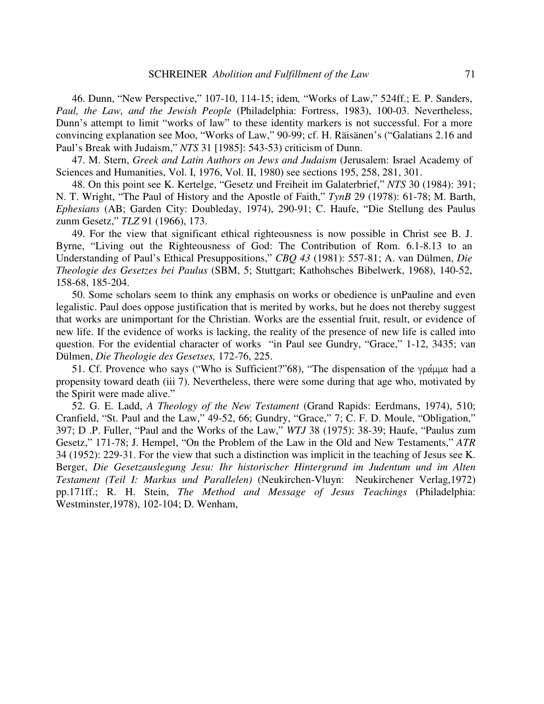46. Dunn, "New Perspective," 107-10, 114-15; idem*,* "Works of Law," 524ff.; E. P. Sanders, *Paul, the Law, and the Jewish People* (Philadelphia: Fortress, 1983), 100-03. Nevertheless, Dunn's attempt to limit "works of law" to these identity markers is not successful. For a more convincing explanation see Moo, "Works of Law," 90-99; cf. H. Räisänen's ("Galatians 2.16 and Paul's Break with Judaism," NTS 31 [1985]: 543-53) criticism of Dunn.

47. M. Stern, *Greek and Latin Authors on Jews and Judaism* (Jerusalem: Israel Academy of Sciences and Humanities, Vol. I, 1976, Vol. II, 1980) see sections 195, 258, 281, 301.

48. On this point see K. Kertelge, "Gesetz und Freiheit im Galaterbrief," *NTS* 30 (1984): 391; N. T. Wright, "The Paul of History and the Apostle of Faith," *TynB* 29 (1978): 61-78; M. Barth, *Ephesians* (AB; Garden City: Doubleday, 1974), 290-91; C. Haufe, "Die Stellung des Paulus zunm Gesetz," *TLZ* 91 (1966), 173.

49. For the view that significant ethical righteousness is now possible in Christ see B. J. Byrne, "Living out the Righteousness of God: The Contribution of Rom. 6.1-8.13 to an Understanding of Paul's Ethical Presuppositions," *CBQ 43* (1981): 557-81; A. van Dülmen, *Die Theologie des Gesetzes bei Paulus* (SBM, 5; Stuttgart; Kathohsches Bibelwerk, 1968), 140-52, 158-68, 185-204.

50. Some scholars seem to think any emphasis on works or obedience is unPauline and even legalistic. Paul does oppose justification that is merited by works, but he does not thereby suggest that works are unimportant for the Christian. Works are the essential fruit, result, or evidence of new life. If the evidence of works is lacking, the reality of the presence of new life is called into question. For the evidential character of works "in Paul see Gundry, "Grace," 1-12, 3435; van Dülmen, *Die Theologie des Gesetses,* 172-76, 225.

51. Cf. Provence who says ("Who is Sufficient?"68), "The dispensation of the  $\gamma \rho \dot{\alpha} \mu \mu \alpha$  had a propensity toward death (iii 7). Nevertheless, there were some during that age who, motivated by the Spirit were made alive."

52. G. E. Ladd, *A Theology of the New Testament* (Grand Rapids: Eerdmans, 1974), 510; Cranfield, "St. Paul and the Law," 49-52, 66; Gundry, "Grace," 7; C. F. D. Moule, "Obligation," 397; D .P. Fuller, "Paul and the Works of the Law," *WTJ* 38 (1975): 38-39; Haufe, "Paulus zum Gesetz," 171-78; J. Hempel, "On the Problem of the Law in the Old and New Testaments," *ATR* 34 (1952): 229-31. For the view that such a distinction was implicit in the teaching of Jesus see K. Berger, *Die Gesetzauslegung Jesu: Ihr historischer Hintergrund im Judentum und im Alten Testament (Teil I: Markus und Parallelen)* (Neukirchen-Vluyn: Neukirchener Verlag,1972) pp.171ff.; R. H. Stein, *The Method and Message of Jesus Teachings* (Philadelphia: Westminster,1978), 102-104; D. Wenham,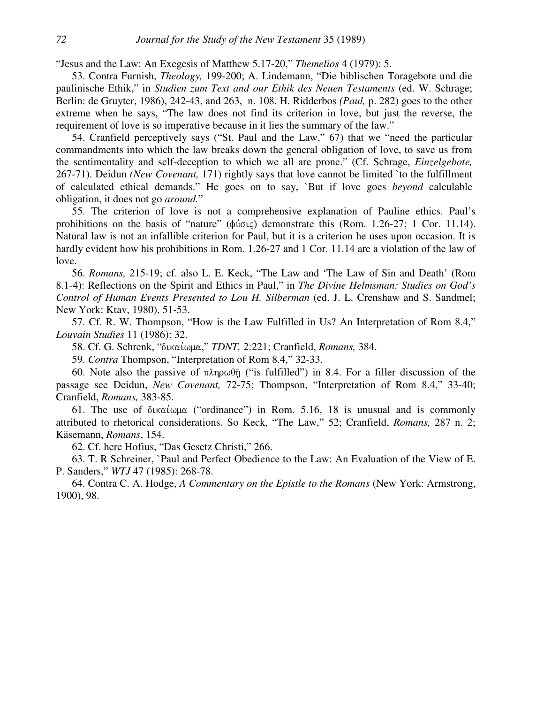"Jesus and the Law: An Exegesis of Matthew 5.17-20," *Themelios* 4 (1979): 5.

53. Contra Furnish, *Theology,* 199-200; A. Lindemann, "Die biblischen Toragebote und die paulinische Ethik," in *Studien zum Text and our Ethik des Neuen Testaments* (ed. W. Schrage; Berlin: de Gruyter, 1986), 242-43, and 263, n. 108. H. Ridderbos *(Paul,* p. 282) goes to the other extreme when he says, "The law does not find its criterion in love, but just the reverse, the requirement of love is so imperative because in it lies the summary of the law."

54. Cranfield perceptively says ("St. Paul and the Law," 67) that we "need the particular commandments into which the law breaks down the general obligation of love, to save us from the sentimentality and self-deception to which we all are prone." (Cf. Schrage, *Einzelgebote,* 267-71). Deidun *(New Covenant,* 171) rightly says that love cannot be limited `to the fulfillment of calculated ethical demands." He goes on to say, `But if love goes *beyond* calculable obligation, it does not go *around.*"

55. The criterion of love is not a comprehensive explanation of Pauline ethics. Paul's prohibitions on the basis of "nature"  $(\phi \circ \phi)$  demonstrate this (Rom. 1.26-27; 1 Cor. 11.14). Natural law is not an infallible criterion for Paul, but it is a criterion he uses upon occasion. It is hardly evident how his prohibitions in Rom. 1.26-27 and 1 Cor. 11.14 are a violation of the law of love.

56. *Romans,* 215-19; cf. also L. E. Keck, "The Law and 'The Law of Sin and Death' (Rom 8.1-4): Reflections on the Spirit and Ethics in Paul," in *The Divine Helmsman: Studies on God's Control of Human Events Presented to Lou H. Silberman* (ed. J. L. Crenshaw and S. Sandmel; New York: Ktav, 1980), 51-53.

57. Cf. R. W. Thompson, "How is the Law Fulfilled in Us? An Interpretation of Rom 8.4," *Louvain Studies* 11 (1986): 32.

58. Cf. G. Schrenk, "δικαίωμα," *TDNT*, 2:221; Cranfield, *Romans*, 384.

59. *Contra* Thompson, "Interpretation of Rom 8.4," 32-33.

60. Note also the passive of  $\pi \lambda \eta \omega \theta \hat{\eta}$  ("is fulfilled") in 8.4. For a filler discussion of the passage see Deidun, *New Covenant,* 72-75; Thompson, "Interpretation of Rom 8.4," 33-40; Cranfield, *Romans,* 383-85.

61. The use of  $\delta$ ικαίωμα ("ordinance") in Rom. 5.16, 18 is unusual and is commonly attributed to rhetorical considerations. So Keck, "The Law," 52; Cranfield, *Romans,* 287 n. 2; Käsemann, *Romans*, 154.

62. Cf. here Hofius, "Das Gesetz Christi," 266.

63. T. R Schreiner, `Paul and Perfect Obedience to the Law: An Evaluation of the View of E. P. Sanders," *WTJ* 47 (1985): 268-78.

64. Contra C. A. Hodge, *A Commentary on the Epistle to the Romans* (New York: Armstrong, 1900), 98.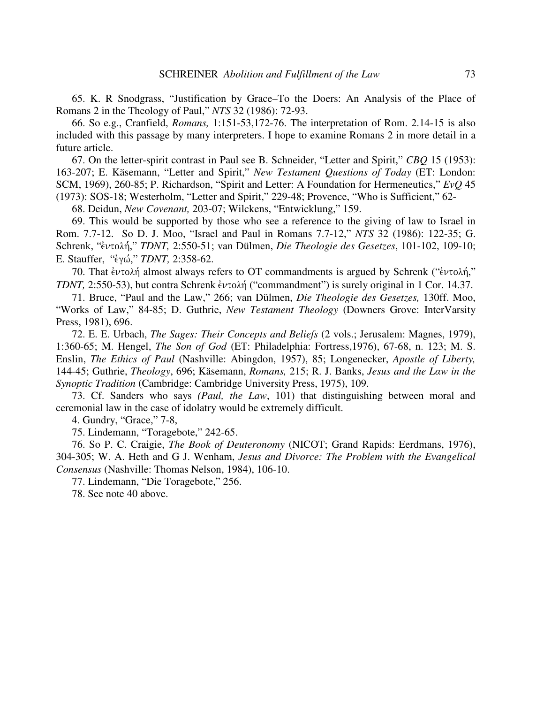65. K. R Snodgrass, "Justification by Grace–To the Doers: An Analysis of the Place of Romans 2 in the Theology of Paul," *NTS* 32 (1986): 72-93.

66. So e.g., Cranfield, *Romans,* 1:151-53,172-76. The interpretation of Rom. 2.14-15 is also included with this passage by many interpreters. I hope to examine Romans 2 in more detail in a future article.

67. On the letter-spirit contrast in Paul see B. Schneider, "Letter and Spirit," *CBQ* 15 (1953): 163-207; E. Käsemann, "Letter and Spirit," *New Testament Questions of Today* (ET: London: SCM, 1969), 260-85; P. Richardson, "Spirit and Letter: A Foundation for Hermeneutics," *EvQ* 45 (1973): SOS-18; Westerholm, "Letter and Spirit," 229-48; Provence, "Who is Sufficient," 62-

68. Deidun, *New Covenant,* 203-07; Wilckens, "Entwicklung," 159.

69. This would be supported by those who see a reference to the giving of law to Israel in Rom. 7.7-12. So D. J. Moo, "Israel and Paul in Romans 7.7-12," *NTS* 32 (1986): 122-35; G. Schrenk, "έντολή," *TDNT*, 2:550-51; van Dülmen, *Die Theologie des Gesetzes*, 101-102, 109-10; E. Stauffer, "<sup>2</sup>γώ," *TDNT*, 2:358-62.

70. That έντολή almost always refers to OT commandments is argued by Schrenk ("έντολή," *TDNT*, 2:550-53), but contra Schrenk ἐντολή ("commandment") is surely original in 1 Cor. 14.37.

71. Bruce, "Paul and the Law," 266; van Dülmen, *Die Theologie des Gesetzes,* 130ff. Moo, "Works of Law," 84-85; D. Guthrie, *New Testament Theology* (Downers Grove: InterVarsity Press, 1981), 696.

72. E. E. Urbach, *The Sages: Their Concepts and Beliefs* (2 vols.; Jerusalem: Magnes, 1979), 1:360-65; M. Hengel, *The Son of God* (ET: Philadelphia: Fortress, 1976), 67-68, n. 123; M. S. Enslin, *The Ethics of Paul* (Nashville: Abingdon, 1957), 85; Longenecker, *Apostle of Liberty,* 144-45; Guthrie, *Theology*, 696; Käsemann, *Romans,* 215; R. J. Banks, *Jesus and the Lw in the Synoptic Tradition* (Cambridge: Cambridge University Press, 1975), 109.

73. Cf. Sanders who says *(Paul, the Law*, 101) that distinguishing between moral and ceremonial law in the case of idolatry would be extremely difficult.

4. Gundry, "Grace," 7-8,

75. Lindemann, "Toragebote," 242-65.

76. So P. C. Craigie, *The Book of Deuteronomy* (NICOT; Grand Rapids: Eerdmans, 1976), 304-305; W. A. Heth and G J. Wenham, *Jesus and Divorce: The Problem with the Evangelical Consensus* (Nashville: Thomas Nelson, 1984), 106-10.

77. Lindemann, "Die Toragebote," 256.

78. See note 40 above.